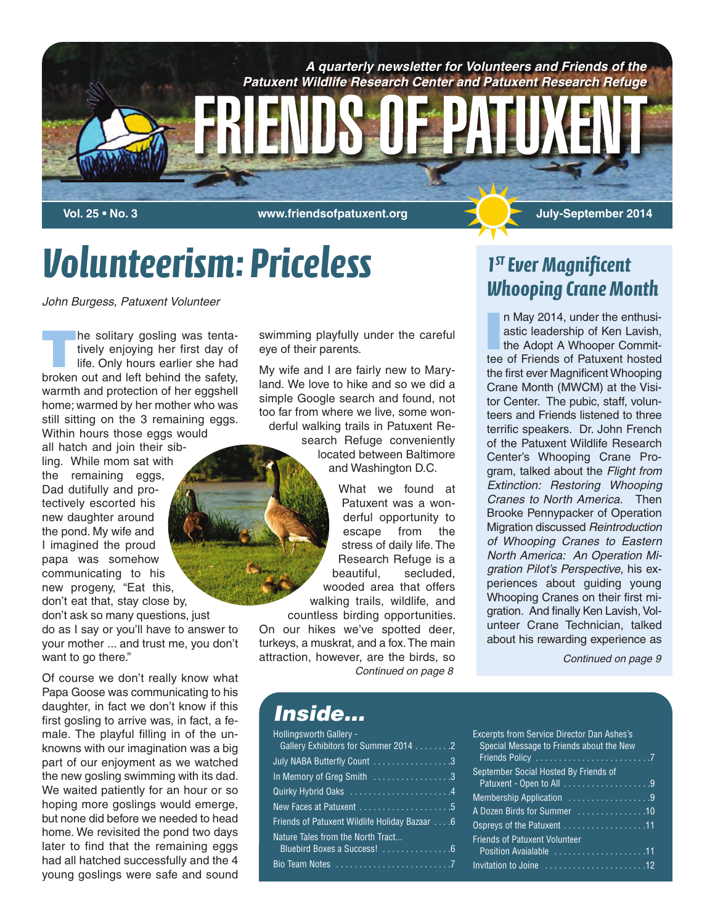

# *Volunteerism: Priceless*

*John Burgess, Patuxent Volunteer*

**The solitary gosling was tenta-<br>tively enjoying her first day of<br>life. Only hours earlier she had** tively enjoying her first day of life. Only hours earlier she had broken out and left behind the safety, warmth and protection of her eggshell home; warmed by her mother who was still sitting on the 3 remaining eggs. Within hours those eggs would all hatch and join their sibling. While mom sat with the remaining eggs, Dad dutifully and protectively escorted his new daughter around the pond. My wife and I imagined the proud papa was somehow communicating to his new progeny, "Eat this, don't eat that, stay close by, don't ask so many questions, just do as I say or you'll have to answer to your mother ... and trust me, you don't want to go there."

Of course we don't really know what Papa Goose was communicating to his daughter, in fact we don't know if this first gosling to arrive was, in fact, a female. The playful filling in of the unknowns with our imagination was a big part of our enjoyment as we watched the new gosling swimming with its dad. We waited patiently for an hour or so hoping more goslings would emerge, but none did before we needed to head home. We revisited the pond two days later to find that the remaining eggs had all hatched successfully and the 4 young goslings were safe and sound

swimming playfully under the careful eye of their parents.

My wife and I are fairly new to Maryland. We love to hike and so we did a simple Google search and found, not too far from where we live, some wonderful walking trails in Patuxent Re-

> search Refuge conveniently located between Baltimore and Washington D.C.

What we found at Patuxent was a wonderful opportunity to escape from the stress of daily life. The Research Refuge is a beautiful, secluded, wooded area that offers walking trails, wildlife, and countless birding opportunities.

On our hikes we've spotted deer, turkeys, a muskrat, and a fox.The main attraction, however, are the birds, so *Continued on page 8*

### *1ST Ever Magnificent Whooping Crane Month*

**I** n May 2014, under the enthusiastic leadership of Ken Lavish, the Adopt A Whooper Committee of Friends of Patuxent hosted the first ever Magnificent Whooping Crane Month (MWCM) at the Visitor Center. The pubic, staff, volunteers and Friends listened to three terrific speakers. Dr. John French of the Patuxent Wildlife Research Center's Whooping Crane Program, talked about the *Flight from Extinction: Restoring Whooping Cranes to North America.* Then Brooke Pennypacker of Operation Migration discussed *Reintroduction of Whooping Cranes to Eastern North America: An Operation Migration Pilot's Perspective*, his experiences about guiding young Whooping Cranes on their first migration. And finally Ken Lavish, Volunteer Crane Technician, talked about his rewarding experience as

*Continued on page 9*

#### *Inside...*

| <b>Hollingsworth Gallery -</b><br>Gallery Exhibitors for Summer 2014 2 |
|------------------------------------------------------------------------|
| July NABA Butterfly Count 3                                            |
| In Memory of Greg Smith 3                                              |
|                                                                        |
|                                                                        |
| Friends of Patuxent Wildlife Holiday Bazaar 6                          |
| Nature Tales from the North Tract                                      |
| Bluebird Boxes a Success! 6                                            |
|                                                                        |
|                                                                        |

| <b>Excerpts from Service Director Dan Ashes's</b> |
|---------------------------------------------------|
| Special Message to Friends about the New          |
|                                                   |
| September Social Hosted By Friends of             |
|                                                   |
| Membership Application 9                          |
| A Dozen Birds for Summer 10                       |
| Ospreys of the Patuxent 11                        |
| <b>Friends of Patuxent Volunteer</b>              |
| Position Avaialable 11                            |
|                                                   |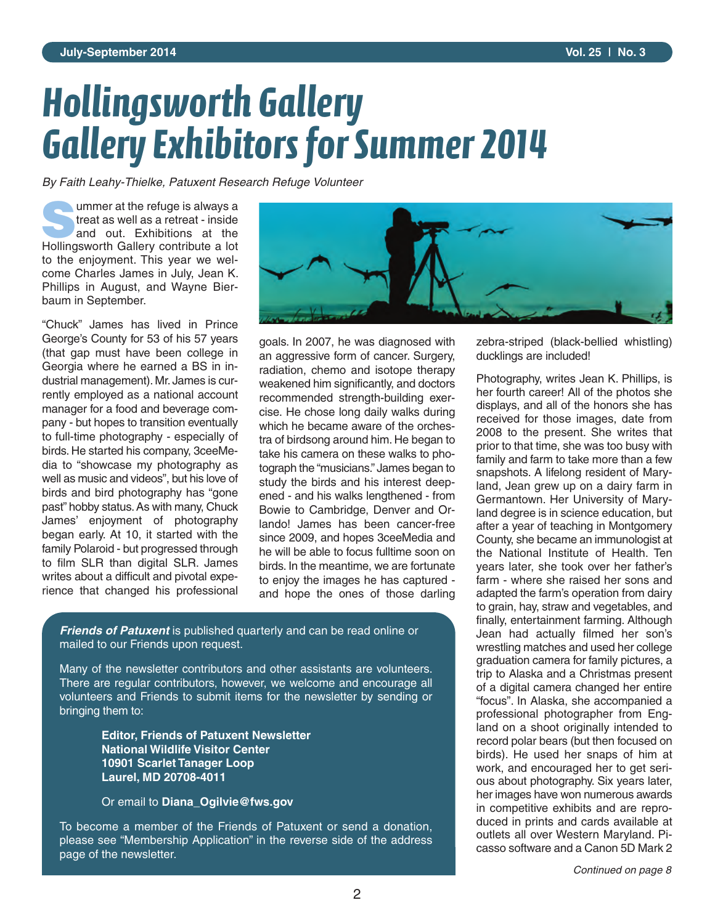# *Hollingsworth Gallery Gallery Exhibitors for Summer 2014*

*By Faith Leahy-Thielke, Patuxent Research Refuge Volunteer*

**S**ummer at the refuge is always a treat as well as a retreat - inside and out. Exhibitions at the Hollingsworth Gallery contribute a lot to the enjoyment. This year we welcome Charles James in July, Jean K. Phillips in August, and Wayne Bierbaum in September.

"Chuck" James has lived in Prince George's County for 53 of his 57 years (that gap must have been college in Georgia where he earned a BS in industrial management). Mr. James is currently employed as a national account manager for a food and beverage company - but hopes to transition eventually to full-time photography - especially of birds. He started his company, 3ceeMedia to "showcase my photography as well as music and videos", but his love of birds and bird photography has "gone past" hobby status. As with many, Chuck James' enjoyment of photography began early. At 10, it started with the family Polaroid - but progressed through to film SLR than digital SLR. James writes about a difficult and pivotal experience that changed his professional



goals. In 2007, he was diagnosed with an aggressive form of cancer. Surgery, radiation, chemo and isotope therapy weakened him significantly, and doctors recommended strength-building exercise. He chose long daily walks during which he became aware of the orchestra of birdsong around him. He began to take his camera on these walks to photograph the "musicians." James began to study the birds and his interest deepened - and his walks lengthened - from Bowie to Cambridge, Denver and Orlando! James has been cancer-free since 2009, and hopes 3ceeMedia and he will be able to focus fulltime soon on birds. In the meantime, we are fortunate to enjoy the images he has captured and hope the ones of those darling

*Friends of Patuxent* is published quarterly and can be read online or mailed to our Friends upon request.

Many of the newsletter contributors and other assistants are volunteers. There are regular contributors, however, we welcome and encourage all volunteers and Friends to submit items for the newsletter by sending or bringing them to:

> **Editor, Friends of Patuxent Newsletter National Wildlife Visitor Center 10901 Scarlet Tanager Loop Laurel, MD 20708-4011**

Or email to **Diana\_Ogilvie@fws.gov**

To become a member of the Friends of Patuxent or send a donation, please see "Membership Application" in the reverse side of the address page of the newsletter.

zebra-striped (black-bellied whistling) ducklings are included!

Photography, writes Jean K. Phillips, is her fourth career! All of the photos she displays, and all of the honors she has received for those images, date from 2008 to the present. She writes that prior to that time, she was too busy with family and farm to take more than a few snapshots. A lifelong resident of Maryland, Jean grew up on a dairy farm in Germantown. Her University of Maryland degree is in science education, but after a year of teaching in Montgomery County, she became an immunologist at the National Institute of Health. Ten years later, she took over her father's farm - where she raised her sons and adapted the farm's operation from dairy to grain, hay, straw and vegetables, and finally, entertainment farming. Although Jean had actually filmed her son's wrestling matches and used her college graduation camera for family pictures, a trip to Alaska and a Christmas present of a digital camera changed her entire "focus". In Alaska, she accompanied a professional photographer from England on a shoot originally intended to record polar bears (but then focused on birds). He used her snaps of him at work, and encouraged her to get serious about photography. Six years later, her images have won numerous awards in competitive exhibits and are reproduced in prints and cards available at outlets all over Western Maryland. Picasso software and a Canon 5D Mark 2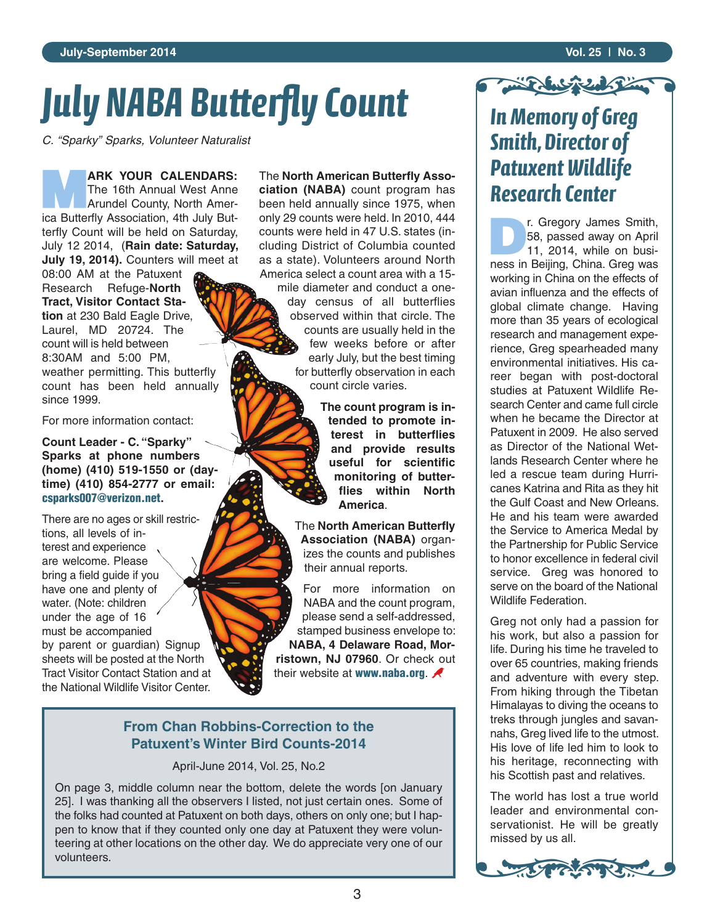# *July NABA Butterfly Count*

*C. "Sparky" Sparks, Volunteer Naturalist*

**MARK YOUR CALENDARS:**<br>The 16th Annual West Anne<br>Arundel County, North Amer-The 16th Annual West Anne ica Butterfly Association, 4th July Butterfly Count will be held on Saturday, July 12 2014, (**Rain date: Saturday, July 19, 2014).** Counters will meet at

08:00 AM at the Patuxent Research Refuge-**North Tract, Visitor Contact Station** at 230 Bald Eagle Drive, Laurel, MD 20724. The count will is held between 8:30AM and 5:00 PM, weather permitting. This butterfly count has been held annually since 1999.

For more information contact:

**Count Leader - C. "Sparky" Sparks at phone numbers (home) (410) 519-1550 or (daytime) (410) 854-2777 or email: csparks007@verizon.net.** 

There are no ages or skill restrictions, all levels of interest and experience are welcome. Please bring a field guide if you have one and plenty of water. (Note: children under the age of 16 must be accompanied by parent or guardian) Signup sheets will be posted at the North Tract Visitor Contact Station and at the National Wildlife Visitor Center.

The **North American Butterfly Association (NABA)** count program has been held annually since 1975, when only 29 counts were held. In 2010, 444 counts were held in 47 U.S. states (including District of Columbia counted as a state). Volunteers around North America select a count area with a 15-

mile diameter and conduct a oneday census of all butterflies observed within that circle. The counts are usually held in the few weeks before or after early July, but the best timing for butterfly observation in each count circle varies.

> **The count program is intended to promote interest in butterflies and provide results** useful for scientific **monitoring of butterflies within North America**.

The **North American Butterfly Association (NABA)** organizes the counts and publishes their annual reports.

For more information on NABA and the count program, please send a self-addressed, stamped business envelope to: **NABA, 4 Delaware Road, Morristown, NJ 07960**. Or check out their website at **www.naba.org**.

#### **From Chan Robbins-Correction to the Patuxent's Winter Bird Counts-2014**

April-June 2014, Vol. 25, No.2

On page 3, middle column near the bottom, delete the words [on January 25]. I was thanking all the observers I listed, not just certain ones. Some of the folks had counted at Patuxent on both days, others on only one; but I happen to know that if they counted only one day at Patuxent they were volunteering at other locations on the other day. We do appreciate very one of our volunteers.

# Vol. 25 | No. 3 *Smith, Director of Patuxent Wildlife Research Center*

**D**<br>**D** F8, passed away on April<br>11, 2014, while on busi-58, passed away on April ness in Beijing, China. Greg was working in China on the effects of avian influenza and the effects of global climate change. Having more than 35 years of ecological research and management experience, Greg spearheaded many environmental initiatives. His career began with post-doctoral studies at Patuxent Wildlife Research Center and came full circle when he became the Director at Patuxent in 2009. He also served as Director of the National Wetlands Research Center where he led a rescue team during Hurricanes Katrina and Rita as they hit the Gulf Coast and New Orleans. He and his team were awarded the Service to America Medal by the Partnership for Public Service to honor excellence in federal civil service. Greg was honored to serve on the board of the National Wildlife Federation.

Greg not only had a passion for his work, but also a passion for life. During his time he traveled to over 65 countries, making friends and adventure with every step. From hiking through the Tibetan Himalayas to diving the oceans to treks through jungles and savannahs, Greg lived life to the utmost. His love of life led him to look to his heritage, reconnecting with his Scottish past and relatives.

The world has lost a true world leader and environmental conservationist. He will be greatly missed by us all.

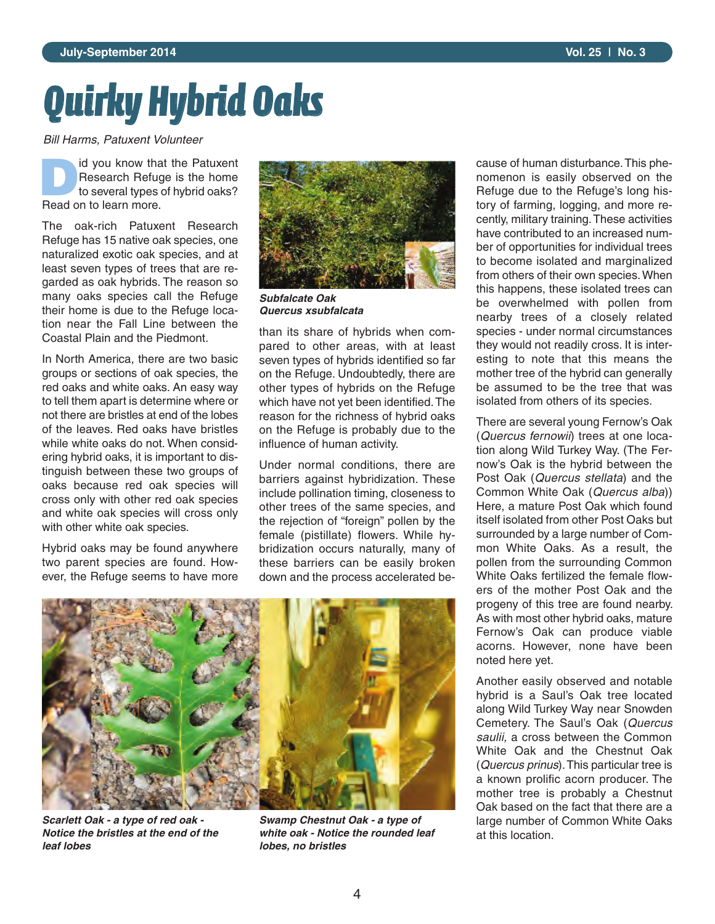# *Quirky Hybrid Oaks*

*Bill Harms, Patuxent Volunteer*

**DEPERTUARY SERVIS CONTROLLER SERVIS CONTROLLER SERVIS CONTROLLER SERVIS CONTROLLER SERVIS CONTROLLER SERVIS CONTROLLER SERVIS CONTROLLER SERVIS CONTROLLER SERVIS CONTROLLER SERVIS CONTROLLER SERVIS CONTROLLER SERVIS CONTR** Research Refuge is the home to several types of hybrid oaks? Read on to learn more.

The oak-rich Patuxent Research Refuge has 15 native oak species, one naturalized exotic oak species, and at least seven types of trees that are regarded as oak hybrids. The reason so many oaks species call the Refuge their home is due to the Refuge location near the Fall Line between the Coastal Plain and the Piedmont.

In North America, there are two basic groups or sections of oak species, the red oaks and white oaks. An easy way to tell them apart is determine where or not there are bristles at end of the lobes of the leaves. Red oaks have bristles while white oaks do not. When considering hybrid oaks, it is important to distinguish between these two groups of oaks because red oak species will cross only with other red oak species and white oak species will cross only with other white oak species.

Hybrid oaks may be found anywhere two parent species are found. However, the Refuge seems to have more



*Subfalcate Oak Quercus xsubfalcata*

than its share of hybrids when compared to other areas, with at least seven types of hybrids identified so far on the Refuge. Undoubtedly, there are other types of hybrids on the Refuge which have not yet been identified. The reason for the richness of hybrid oaks on the Refuge is probably due to the influence of human activity.

Under normal conditions, there are barriers against hybridization. These include pollination timing, closeness to other trees of the same species, and the rejection of "foreign" pollen by the female (pistillate) flowers. While hybridization occurs naturally, many of these barriers can be easily broken down and the process accelerated be-



*Scarlett Oak - a type of red oak - Notice the bristles at the end of the leaf lobes*

*Swamp Chestnut Oak - a type of white oak - Notice the rounded leaf lobes, no bristles*

cause of human disturbance. This phenomenon is easily observed on the Refuge due to the Refuge's long history of farming, logging, and more recently, military training. These activities have contributed to an increased number of opportunities for individual trees to become isolated and marginalized from others of their own species. When this happens, these isolated trees can be overwhelmed with pollen from nearby trees of a closely related species - under normal circumstances they would not readily cross. It is interesting to note that this means the mother tree of the hybrid can generally be assumed to be the tree that was isolated from others of its species.

There are several young Fernow's Oak (*Quercus fernowii*) trees at one location along Wild Turkey Way. (The Fernow's Oak is the hybrid between the Post Oak (*Quercus stellata*) and the Common White Oak (*Quercus alba*)) Here, a mature Post Oak which found itself isolated from other Post Oaks but surrounded by a large number of Common White Oaks. As a result, the pollen from the surrounding Common White Oaks fertilized the female flowers of the mother Post Oak and the progeny of this tree are found nearby. As with most other hybrid oaks, mature Fernow's Oak can produce viable acorns. However, none have been noted here yet.

Another easily observed and notable hybrid is a Saul's Oak tree located along Wild Turkey Way near Snowden Cemetery. The Saul's Oak (*Quercus saulii,* a cross between the Common White Oak and the Chestnut Oak (*Quercus prinus*). This particular tree is a known prolific acorn producer. The mother tree is probably a Chestnut Oak based on the fact that there are a large number of Common White Oaks at this location.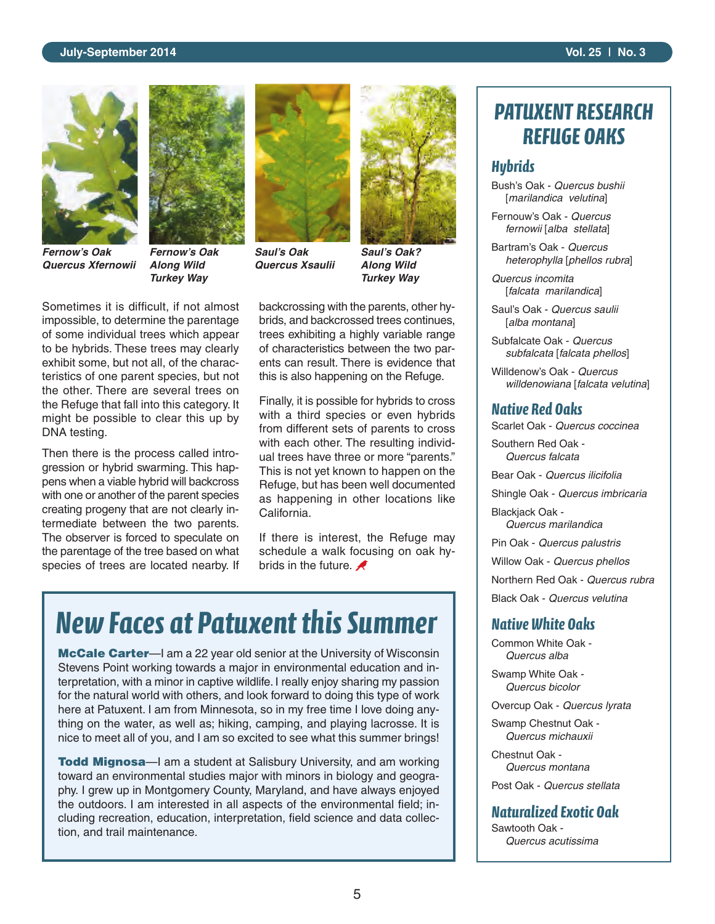#### **July-September 2014 Vol. 25 | No. 3**



*Fernow's Oak Quercus Xfernowii*



*Fernow's Oak Along Wild Turkey Way*

Sometimes it is difficult, if not almost impossible, to determine the parentage of some individual trees which appear to be hybrids. These trees may clearly exhibit some, but not all, of the characteristics of one parent species, but not the other. There are several trees on the Refuge that fall into this category. It might be possible to clear this up by DNA testing.

Then there is the process called introgression or hybrid swarming. This happens when a viable hybrid will backcross with one or another of the parent species creating progeny that are not clearly intermediate between the two parents. The observer is forced to speculate on the parentage of the tree based on what species of trees are located nearby. If



*Saul's Oak Quercus Xsaulii*



*Saul's Oak? Along Wild Turkey Way*

backcrossing with the parents, other hybrids, and backcrossed trees continues, trees exhibiting a highly variable range of characteristics between the two parents can result. There is evidence that this is also happening on the Refuge.

Finally, it is possible for hybrids to cross with a third species or even hybrids from different sets of parents to cross with each other. The resulting individual trees have three or more "parents." This is not yet known to happen on the Refuge, but has been well documented as happening in other locations like California.

If there is interest, the Refuge may schedule a walk focusing on oak hybrids in the future.  $\blacktriangle$ 

## *New Faces at Patuxent this Summer*

**McCale Carter**—I am a 22 year old senior at the University of Wisconsin Stevens Point working towards a major in environmental education and interpretation, with a minor in captive wildlife. I really enjoy sharing my passion for the natural world with others, and look forward to doing this type of work here at Patuxent. I am from Minnesota, so in my free time I love doing anything on the water, as well as; hiking, camping, and playing lacrosse. It is nice to meet all of you, and I am so excited to see what this summer brings!

**Todd Mignosa**—I am a student at Salisbury University, and am working toward an environmental studies major with minors in biology and geography. I grew up in Montgomery County, Maryland, and have always enjoyed the outdoors. I am interested in all aspects of the environmental field; including recreation, education, interpretation, field science and data collection, and trail maintenance.

### *PATUXENT RESEARCH REFUGE OAKS*

#### *Hybrids*

Bush's Oak - *Quercus bushii* [*marilandica velutina*]

Fernouw's Oak - *Quercus fernowii* [*alba stellata*]

Bartram's Oak - *Quercus heterophylla* [*phellos rubra*]

*Quercus incomita* [*falcata marilandica*]

Saul's Oak - *Quercus saulii* [*alba montana*]

Subfalcate Oak - *Quercus subfalcata* [*falcata phellos*]

Willdenow's Oak - *Quercus willdenowiana* [*falcata velutina*]

#### *Native Red Oaks*

Scarlet Oak - *Quercus coccinea*

Southern Red Oak - *Quercus falcata*

Bear Oak - *Quercus ilicifolia*

Shingle Oak - *Quercus imbricaria*

Blackiack Oak -*Quercus marilandica*

Pin Oak - *Quercus palustris* Willow Oak - *Quercus phellos* Northern Red Oak - *Quercus rubra* Black Oak - *Quercus velutina*

#### *Native White Oaks*

Common White Oak - *Quercus alba*

Swamp White Oak - *Quercus bicolor*

Overcup Oak - *Quercus lyrata*

Swamp Chestnut Oak - *Quercus michauxii*

Chestnut Oak - *Quercus montana*

Post Oak - *Quercus stellata*

#### *Naturalized Exotic Oak*

Sawtooth Oak - *Quercus acutissima*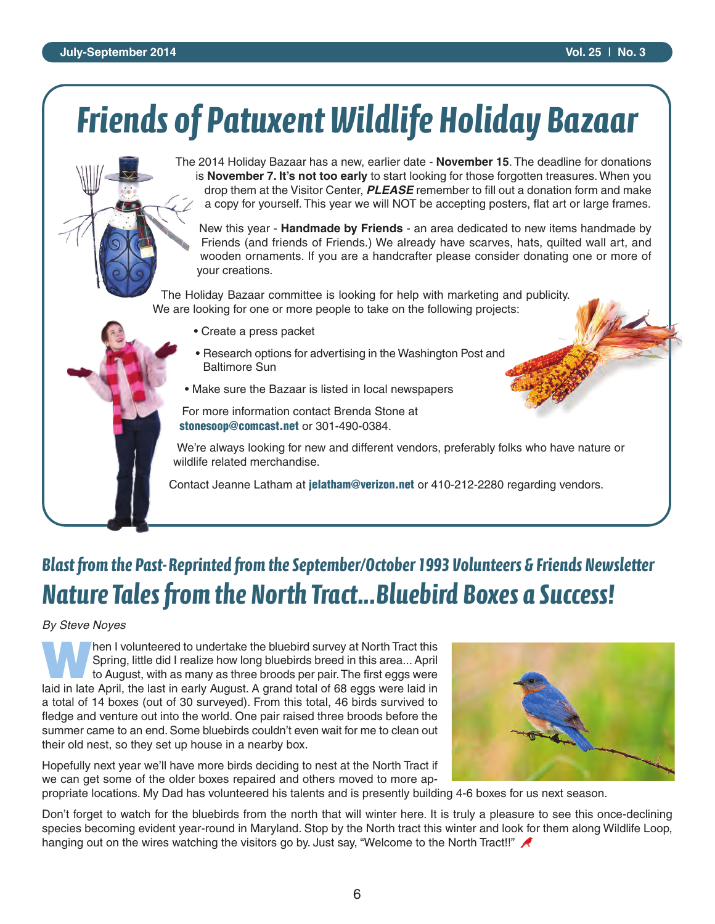#### **July-September 2014 Vol. 25 | No. 3**

# *Friends of Patuxent Wildlife Holiday Bazaar*

The 2014 Holiday Bazaar has a new, earlier date - **November 15**. The deadline for donations is **November 7. It's not too early** to start looking for those forgotten treasures. When you drop them at the Visitor Center, *PLEASE* remember to fill out a donation form and make a copy for yourself. This year we will NOT be accepting posters, flat art or large frames.

New this year - **Handmade by Friends** - an area dedicated to new items handmade by Friends (and friends of Friends.) We already have scarves, hats, quilted wall art, and wooden ornaments. If you are a handcrafter please consider donating one or more of your creations.

The Holiday Bazaar committee is looking for help with marketing and publicity. We are looking for one or more people to take on the following projects:

- Create a press packet
- Research options for advertising in the Washington Post and Baltimore Sun
- Make sure the Bazaar is listed in local newspapers

For more information contact Brenda Stone at **stonesoop@comcast.net** or 301-490-0384.

We're always looking for new and different vendors, preferably folks who have nature or wildlife related merchandise.

Contact Jeanne Latham at **jelatham@verizon.net** or 410-212-2280 regarding vendors.

### **Blast from the Past-Reprinted from the September/October 1993 Volunteers & Friends Newsletter Nature Tales from the North Tract...Bluebird Boxes a Success!**

#### *By Steve Noyes*

Then I volunteered to undertake the bluebird survey at North Tract this<br>Spring, little did I realize how long bluebirds breed in this area... April<br>to August, with as many as three broods per pair. The first eggs were Spring, little did I realize how long bluebirds breed in this area... April to August, with as many as three broods per pair. The first eggs were laid in late April, the last in early August. A grand total of 68 eggs were laid in a total of 14 boxes (out of 30 surveyed). From this total, 46 birds survived to fledge and venture out into the world. One pair raised three broods before the summer came to an end. Some bluebirds couldn't even wait for me to clean out their old nest, so they set up house in a nearby box.

Hopefully next year we'll have more birds deciding to nest at the North Tract if we can get some of the older boxes repaired and others moved to more ap-

propriate locations. My Dad has volunteered his talents and is presently building 4-6 boxes for us next season.

Don't forget to watch for the bluebirds from the north that will winter here. It is truly a pleasure to see this once-declining species becoming evident year-round in Maryland. Stop by the North tract this winter and look for them along Wildlife Loop, hanging out on the wires watching the visitors go by. Just say, "Welcome to the North Tract!!"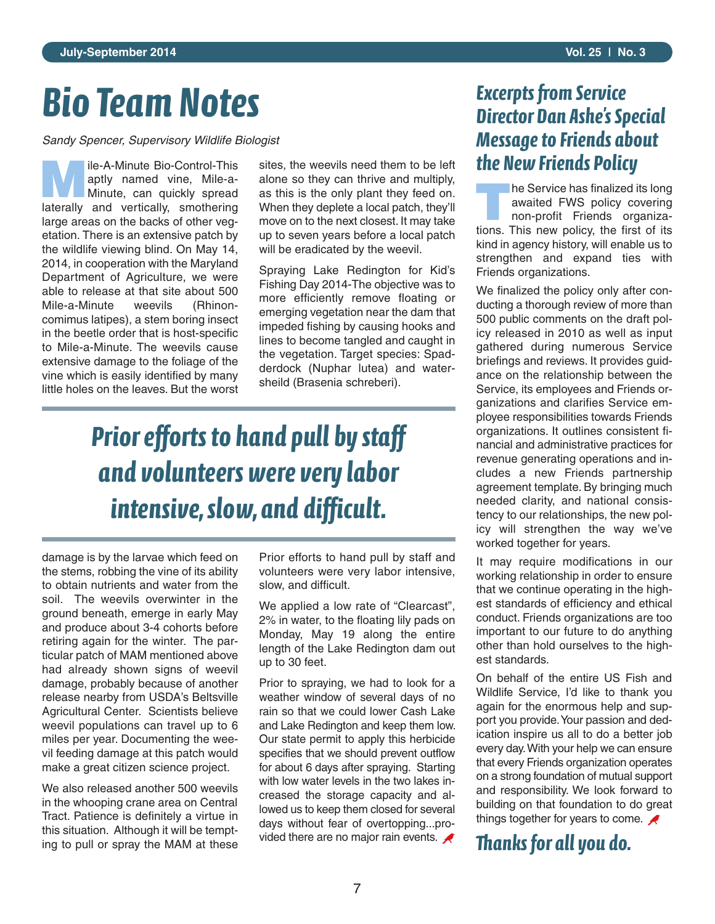# *Bio Team Notes*

*Sandy Spencer, Supervisory Wildlife Biologist*

**Mile-A-Minute Bio-Control-This**<br>aptly named vine, Mile-a-<br>Minute, can quickly spread aptly named vine, Mile-a-Minute, can quickly spread laterally and vertically, smothering large areas on the backs of other vegetation. There is an extensive patch by the wildlife viewing blind. On May 14, 2014, in cooperation with the Maryland Department of Agriculture, we were able to release at that site about 500 Mile-a-Minute weevils (Rhinoncomimus latipes), a stem boring insect in the beetle order that is host-specific to Mile-a-Minute. The weevils cause extensive damage to the foliage of the vine which is easily identified by many little holes on the leaves. But the worst

sites, the weevils need them to be left alone so they can thrive and multiply, as this is the only plant they feed on. When they deplete a local patch, they'll move on to the next closest. It may take up to seven years before a local patch will be eradicated by the weevil.

Spraying Lake Redington for Kid's Fishing Day 2014-The objective was to more efficiently remove floating or emerging vegetation near the dam that impeded fishing by causing hooks and lines to become tangled and caught in the vegetation. Target species: Spadderdock (Nuphar lutea) and watersheild (Brasenia schreberi).

# *Prior efforts to hand pull by staff and volunteers were very labor intensive, slow, and difficult.*

damage is by the larvae which feed on the stems, robbing the vine of its ability to obtain nutrients and water from the soil. The weevils overwinter in the ground beneath, emerge in early May and produce about 3-4 cohorts before retiring again for the winter. The particular patch of MAM mentioned above had already shown signs of weevil damage, probably because of another release nearby from USDA's Beltsville Agricultural Center. Scientists believe weevil populations can travel up to 6 miles per year. Documenting the weevil feeding damage at this patch would make a great citizen science project.

We also released another 500 weevils in the whooping crane area on Central Tract. Patience is definitely a virtue in this situation. Although it will be tempting to pull or spray the MAM at these

Prior efforts to hand pull by staff and volunteers were very labor intensive, slow, and difficult.

We applied a low rate of "Clearcast", 2% in water, to the floating lily pads on Monday, May 19 along the entire length of the Lake Redington dam out up to 30 feet.

Prior to spraying, we had to look for a weather window of several days of no rain so that we could lower Cash Lake and Lake Redington and keep them low. Our state permit to apply this herbicide specifies that we should prevent outflow for about 6 days after spraying. Starting with low water levels in the two lakes increased the storage capacity and allowed us to keep them closed for several days without fear of overtopping...provided there are no major rain events.

#### **Excerpts from Service** *Director Dan Ashe's Special Message to Friends about the New Friends Policy*

**THE SERVICE has finalized its long<br>
non-profit Friends organiza**awaited FWS policy covering tions. This new policy, the first of its kind in agency history, will enable us to strengthen and expand ties with Friends organizations.

We finalized the policy only after conducting a thorough review of more than 500 public comments on the draft policy released in 2010 as well as input gathered during numerous Service briefings and reviews. It provides guidance on the relationship between the Service, its employees and Friends organizations and clarifies Service employee responsibilities towards Friends organizations. It outlines consistent financial and administrative practices for revenue generating operations and includes a new Friends partnership agreement template. By bringing much needed clarity, and national consistency to our relationships, the new policy will strengthen the way we've worked together for years.

It may require modifications in our working relationship in order to ensure that we continue operating in the highest standards of efficiency and ethical conduct. Friends organizations are too important to our future to do anything other than hold ourselves to the highest standards.

On behalf of the entire US Fish and Wildlife Service, I'd like to thank you again for the enormous help and support you provide. Your passion and dedication inspire us all to do a better job every day. With your help we can ensure that every Friends organization operates on a strong foundation of mutual support and responsibility. We look forward to building on that foundation to do great things together for years to come.

*anks for all you do.*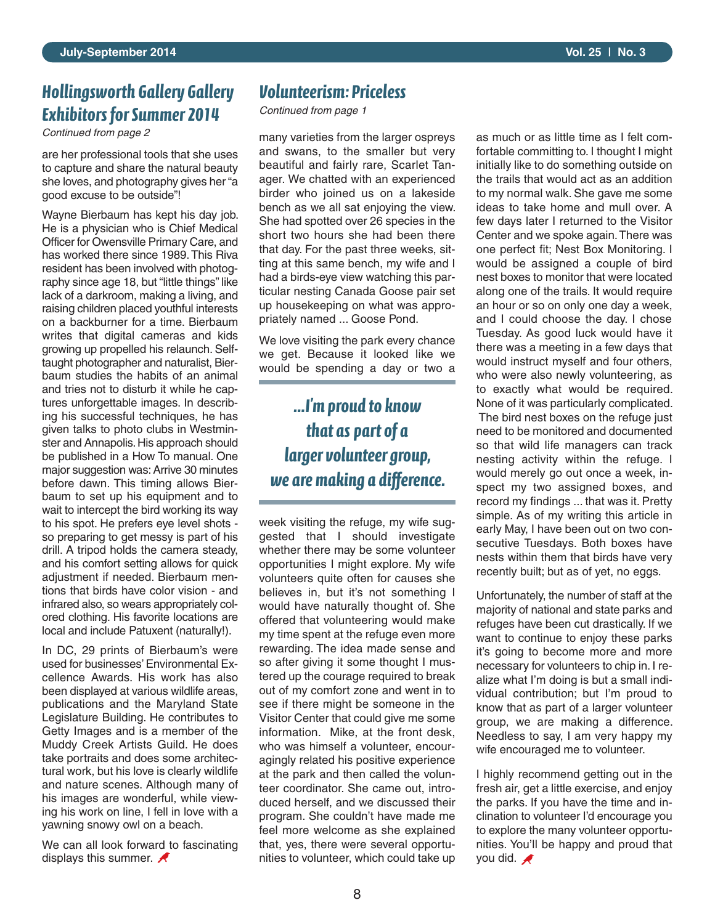#### *Hollingsworth Gallery Gallery Exhibitors for Summer 2014*

are her professional tools that she uses to capture and share the natural beauty she loves, and photography gives her "a good excuse to be outside"!

Wayne Bierbaum has kept his day job. He is a physician who is Chief Medical Officer for Owensville Primary Care, and has worked there since 1989. This Riva resident has been involved with photography since age 18, but "little things" like lack of a darkroom, making a living, and raising children placed youthful interests on a backburner for a time. Bierbaum writes that digital cameras and kids growing up propelled his relaunch. Selftaught photographer and naturalist, Bierbaum studies the habits of an animal and tries not to disturb it while he captures unforgettable images. In describing his successful techniques, he has given talks to photo clubs in Westminster and Annapolis. His approach should be published in a How To manual. One major suggestion was: Arrive 30 minutes before dawn. This timing allows Bierbaum to set up his equipment and to wait to intercept the bird working its way to his spot. He prefers eye level shots so preparing to get messy is part of his drill. A tripod holds the camera steady, and his comfort setting allows for quick adjustment if needed. Bierbaum mentions that birds have color vision - and infrared also, so wears appropriately colored clothing. His favorite locations are local and include Patuxent (naturally!).

In DC, 29 prints of Bierbaum's were used for businesses' Environmental Excellence Awards. His work has also been displayed at various wildlife areas, publications and the Maryland State Legislature Building. He contributes to Getty Images and is a member of the Muddy Creek Artists Guild. He does take portraits and does some architectural work, but his love is clearly wildlife and nature scenes. Although many of his images are wonderful, while viewing his work on line, I fell in love with a yawning snowy owl on a beach.

We can all look forward to fascinating displays this summer.  $\blacktriangle$ 

#### *Volunteerism: Priceless*

*Continued from page 1*

and swans, to the smaller but very beautiful and fairly rare, Scarlet Tanager. We chatted with an experienced birder who joined us on a lakeside bench as we all sat enjoying the view. She had spotted over 26 species in the short two hours she had been there that day. For the past three weeks, sitting at this same bench, my wife and I had a birds-eye view watching this particular nesting Canada Goose pair set up housekeeping on what was appropriately named ... Goose Pond.

We love visiting the park every chance we get. Because it looked like we would be spending a day or two a

#### *...I'm proud to know that as part of a larger volunteer group, we are making a difference.*

week visiting the refuge, my wife suggested that I should investigate whether there may be some volunteer opportunities I might explore. My wife volunteers quite often for causes she believes in, but it's not something I would have naturally thought of. She offered that volunteering would make my time spent at the refuge even more rewarding. The idea made sense and so after giving it some thought I mustered up the courage required to break out of my comfort zone and went in to see if there might be someone in the Visitor Center that could give me some information. Mike, at the front desk, who was himself a volunteer, encouragingly related his positive experience at the park and then called the volunteer coordinator. She came out, introduced herself, and we discussed their program. She couldn't have made me feel more welcome as she explained that, yes, there were several opportunities to volunteer, which could take up

Continued from page 2 **as a continued from page 2** as much or as little time as I felt comfortable committing to. I thought I might initially like to do something outside on the trails that would act as an addition to my normal walk. She gave me some ideas to take home and mull over. A few days later I returned to the Visitor Center and we spoke again. There was one perfect fit; Nest Box Monitoring. I would be assigned a couple of bird nest boxes to monitor that were located along one of the trails. It would require an hour or so on only one day a week, and I could choose the day. I chose Tuesday. As good luck would have it there was a meeting in a few days that would instruct myself and four others, who were also newly volunteering, as to exactly what would be required. None of it was particularly complicated. The bird nest boxes on the refuge just need to be monitored and documented so that wild life managers can track nesting activity within the refuge. I would merely go out once a week, inspect my two assigned boxes, and record my findings ... that was it. Pretty simple. As of my writing this article in early May, I have been out on two consecutive Tuesdays. Both boxes have nests within them that birds have very recently built; but as of yet, no eggs.

> Unfortunately, the number of staff at the majority of national and state parks and refuges have been cut drastically. If we want to continue to enjoy these parks it's going to become more and more necessary for volunteers to chip in. I realize what I'm doing is but a small individual contribution; but I'm proud to know that as part of a larger volunteer group, we are making a difference. Needless to say, I am very happy my wife encouraged me to volunteer.

> I highly recommend getting out in the fresh air, get a little exercise, and enjoy the parks. If you have the time and inclination to volunteer I'd encourage you to explore the many volunteer opportunities. You'll be happy and proud that you did.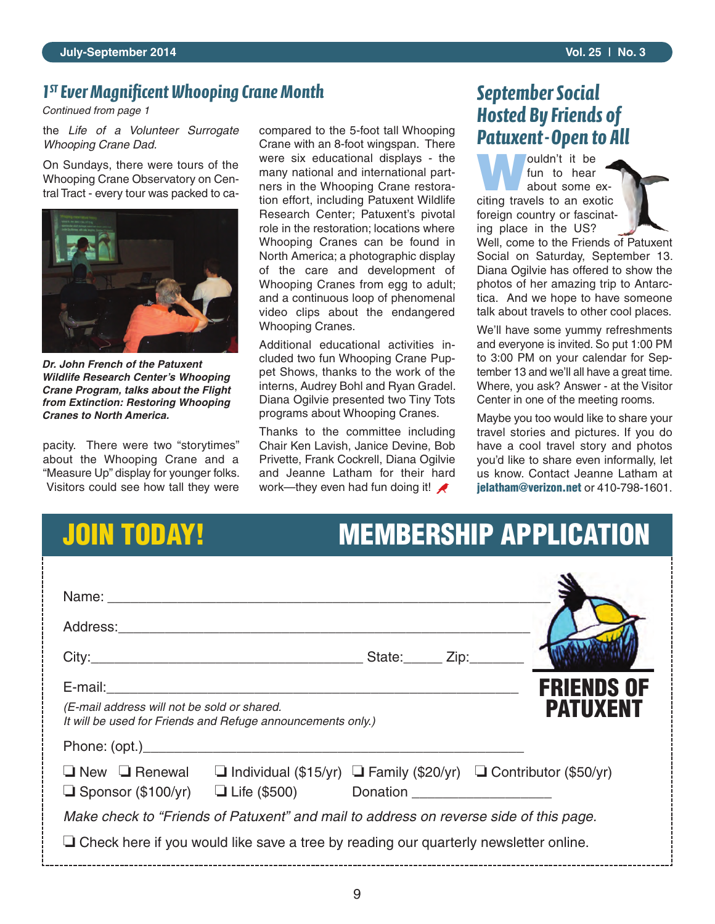#### *1ST Ever Magnificent Whooping Crane Month*

*Continued from page 1*

the *Life of a Volunteer Surrogate Whooping Crane Dad.*

On Sundays, there were tours of the Whooping Crane Observatory on Central Tract - every tour was packed to ca-



*Dr. John French of the Patuxent Wildlife Research Center's Whooping Crane Program, talks about the Flight from Extinction: Restoring Whooping Cranes to North America.* 

pacity. There were two "storytimes" about the Whooping Crane and a "Measure Up" display for younger folks. Visitors could see how tall they were compared to the 5-foot tall Whooping Crane with an 8-foot wingspan. There were six educational displays - the many national and international partners in the Whooping Crane restoration effort, including Patuxent Wildlife Research Center; Patuxent's pivotal role in the restoration; locations where Whooping Cranes can be found in North America; a photographic display of the care and development of Whooping Cranes from egg to adult; and a continuous loop of phenomenal video clips about the endangered Whooping Cranes.

Additional educational activities included two fun Whooping Crane Puppet Shows, thanks to the work of the interns, Audrey Bohl and Ryan Gradel. Diana Ogilvie presented two Tiny Tots programs about Whooping Cranes.

Thanks to the committee including Chair Ken Lavish, Janice Devine, Bob Privette, Frank Cockrell, Diana Ogilvie and Jeanne Latham for their hard work—they even had fun doing it!

#### *September Social Hosted By Friends of Patuxent - Open to All*

**W**ouldn't it be<br>
about some exfun to hear citing travels to an exotic foreign country or fascinating place in the US?

Well, come to the Friends of Patuxent Social on Saturday, September 13. Diana Ogilvie has offered to show the photos of her amazing trip to Antarctica. And we hope to have someone talk about travels to other cool places.

We'll have some yummy refreshments and everyone is invited. So put 1:00 PM to 3:00 PM on your calendar for September 13 and we'll all have a great time. Where, you ask? Answer - at the Visitor Center in one of the meeting rooms.

Maybe you too would like to share your travel stories and pictures. If you do have a cool travel story and photos you'd like to share even informally, let us know. Contact Jeanne Latham at **jelatham@verizon.net** or 410-798-1601.

### **JOIN TODAY!**

| <b>MEMBERSHIP APPLICATION</b> |
|-------------------------------|
|-------------------------------|

| <b>FRIENDS OF</b><br><b>PATUXENT</b><br>(E-mail address will not be sold or shared.<br>It will be used for Friends and Refuge announcements only.) |  |  |                                                                                                            |  |  |  |
|----------------------------------------------------------------------------------------------------------------------------------------------------|--|--|------------------------------------------------------------------------------------------------------------|--|--|--|
| Phone: (opt.)                                                                                                                                      |  |  |                                                                                                            |  |  |  |
|                                                                                                                                                    |  |  | $\Box$ New $\Box$ Renewal $\Box$ Individual (\$15/yr) $\Box$ Family (\$20/yr) $\Box$ Contributor (\$50/yr) |  |  |  |
| Make check to "Friends of Patuxent" and mail to address on reverse side of this page.                                                              |  |  |                                                                                                            |  |  |  |
| $\Box$ Check here if you would like save a tree by reading our quarterly newsletter online.                                                        |  |  |                                                                                                            |  |  |  |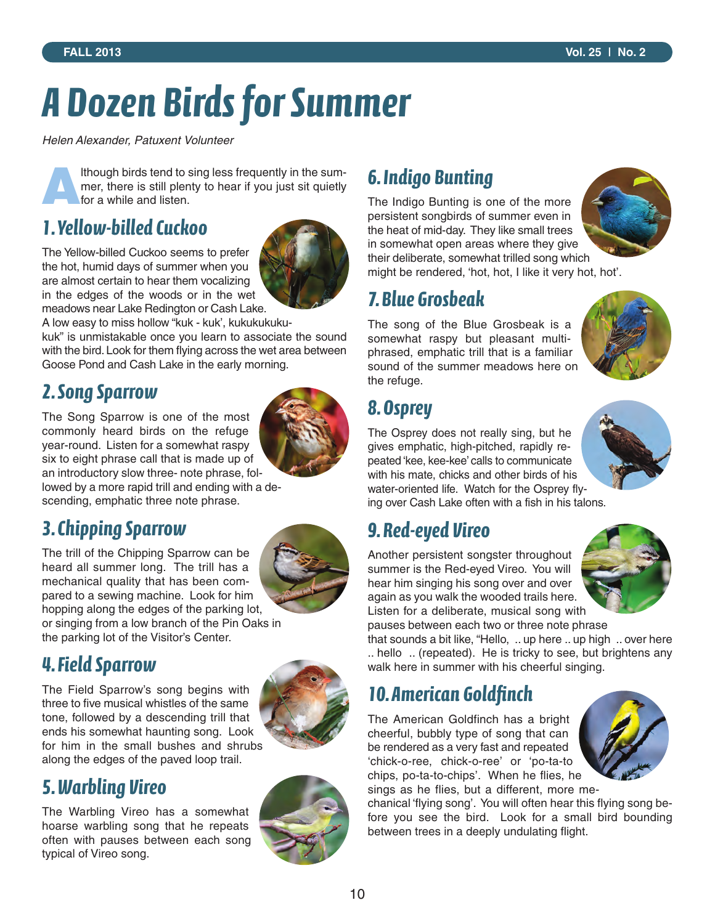# *A Dozen Birds for Summer*

*Helen Alexander, Patuxent Volunteer*

**A**lthough birds tend to sing less frequently in the summer, there is still plenty to hear if you just sit quietly for a while and listen.

#### *1. Yellow-billed Cuckoo*

The Yellow-billed Cuckoo seems to prefer the hot, humid days of summer when you are almost certain to hear them vocalizing in the edges of the woods or in the wet meadows near Lake Redington or Cash Lake.



A low easy to miss hollow "kuk - kuk', kukukukuku-

kuk" is unmistakable once you learn to associate the sound with the bird. Look for them flying across the wet area between Goose Pond and Cash Lake in the early morning.

#### *2. Song Sparrow*

The Song Sparrow is one of the most commonly heard birds on the refuge year-round. Listen for a somewhat raspy six to eight phrase call that is made up of an introductory slow three- note phrase, followed by a more rapid trill and ending with a de-

scending, emphatic three note phrase.

#### *3. Chipping Sparrow*

The trill of the Chipping Sparrow can be heard all summer long. The trill has a mechanical quality that has been compared to a sewing machine. Look for him hopping along the edges of the parking lot, or singing from a low branch of the Pin Oaks in the parking lot of the Visitor's Center.



#### *4. Field Sparrow*

The Field Sparrow's song begins with three to five musical whistles of the same tone, followed by a descending trill that ends his somewhat haunting song. Look for him in the small bushes and shrubs along the edges of the paved loop trail.

### *5. Warbling Vireo*

The Warbling Vireo has a somewhat hoarse warbling song that he repeats often with pauses between each song typical of Vireo song.



### *6. Indigo Bunting*

The Indigo Bunting is one of the more persistent songbirds of summer even in the heat of mid-day. They like small trees in somewhat open areas where they give their deliberate, somewhat trilled song which might be rendered, 'hot, hot, I like it very hot, hot'.

#### *7. Blue Grosbeak*

The song of the Blue Grosbeak is a somewhat raspy but pleasant multiphrased, emphatic trill that is a familiar sound of the summer meadows here on the refuge.



### *8. Osprey*

The Osprey does not really sing, but he gives emphatic, high-pitched, rapidly repeated 'kee, kee-kee' calls to communicate with his mate, chicks and other birds of his water-oriented life. Watch for the Osprey flying over Cash Lake often with a fish in his talons.

#### *9. Red-eyed Vireo*

Another persistent songster throughout summer is the Red-eyed Vireo. You will hear him singing his song over and over again as you walk the wooded trails here. Listen for a deliberate, musical song with



pauses between each two or three note phrase that sounds a bit like, "Hello, .. up here .. up high .. over here .. hello .. (repeated). He is tricky to see, but brightens any walk here in summer with his cheerful singing.

### *10. American Goldfinch*

The American Goldfinch has a bright cheerful, bubbly type of song that can be rendered as a very fast and repeated 'chick-o-ree, chick-o-ree' or 'po-ta-to chips, po-ta-to-chips'. When he flies, he sings as he flies, but a different, more me-

chanical 'flying song'. You will often hear this flying song before you see the bird. Look for a small bird bounding between trees in a deeply undulating flight.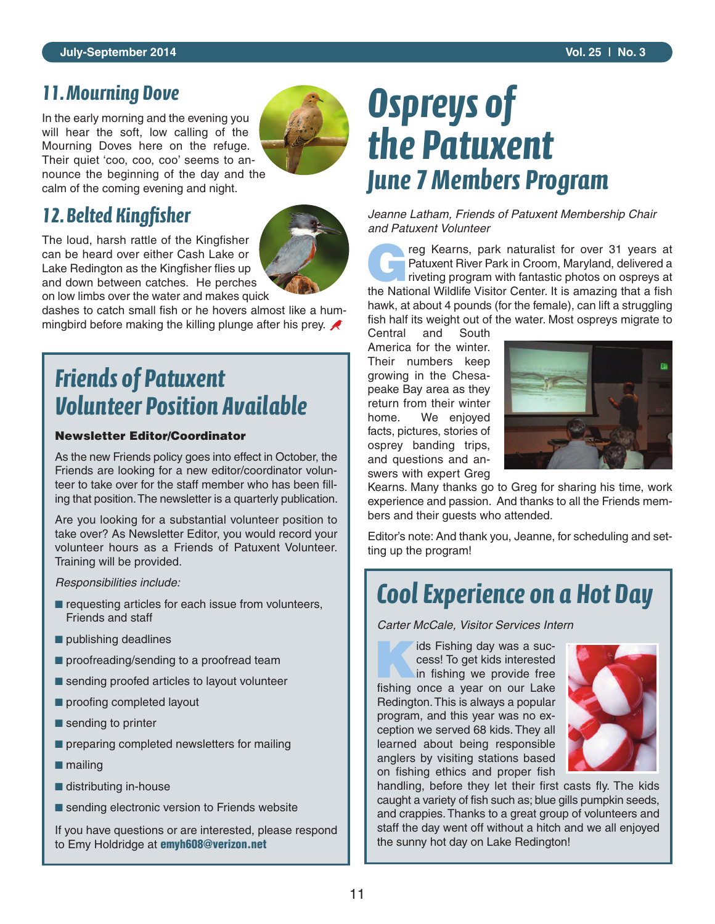#### *11. Mourning Dove*

In the early morning and the evening you will hear the soft, low calling of the Mourning Doves here on the refuge. Their quiet 'coo, coo, coo' seems to announce the beginning of the day and the calm of the coming evening and night.



### *12. Belted Kingfisher*

The loud, harsh rattle of the Kingfisher can be heard over either Cash Lake or Lake Redington as the Kingfisher flies up and down between catches. He perches on low limbs over the water and makes quick



dashes to catch small fish or he hovers almost like a hummingbird before making the killing plunge after his prey.  $\blacktriangle$ 

### *Friends of Patuxent Volunteer Position Available*

#### **Newsletter Editor/Coordinator**

As the new Friends policy goes into effect in October, the Friends are looking for a new editor/coordinator volunteer to take over for the staff member who has been filling that position. The newsletter is a quarterly publication.

Are you looking for a substantial volunteer position to take over? As Newsletter Editor, you would record your volunteer hours as a Friends of Patuxent Volunteer. Training will be provided.

*Responsibilities include:* 

- requesting articles for each issue from volunteers, Friends and staff
- publishing deadlines
- proofreading/sending to a proofread team
- sending proofed articles to layout volunteer
- proofing completed layout
- sending to printer
- **preparing completed newsletters for mailing**
- mailing
- distributing in-house
- sending electronic version to Friends website

If you have questions or are interested, please respond to Emy Holdridge at **emyh608@verizon.net**

# *Ospreys of the Patuxent June 7 Members Program*

*Jeanne Latham, Friends of Patuxent Membership Chair and Patuxent Volunteer*

reg Kearns, park naturalist for over 31 years at<br>Patuxent River Park in Croom, Maryland, delivered a<br>riveting program with fantastic photos on ospreys at Patuxent River Park in Croom, Maryland, delivered a riveting program with fantastic photos on ospreys at the National Wildlife Visitor Center. It is amazing that a fish hawk, at about 4 pounds (for the female), can lift a struggling fish half its weight out of the water. Most ospreys migrate to

Central and South America for the winter. Their numbers keep growing in the Chesapeake Bay area as they return from their winter home. We enjoyed facts, pictures, stories of osprey banding trips, and questions and answers with expert Greg



Kearns. Many thanks go to Greg for sharing his time, work experience and passion. And thanks to all the Friends members and their guests who attended.

Editor's note: And thank you, Jeanne, for scheduling and setting up the program!

### *Cool Experience on a Hot Day*

*Carter McCale, Visitor Services Intern*

**Kids Fishing day was a success! To get kids interested**<br>in fishing we provide free cess! To get kids interested in fishing we provide free fishing once a year on our Lake Redington. This is always a popular program, and this year was no exception we served 68 kids. They all learned about being responsible anglers by visiting stations based on fishing ethics and proper fish



handling, before they let their first casts fly. The kids caught a variety of fish such as; blue gills pumpkin seeds, and crappies. Thanks to a great group of volunteers and staff the day went off without a hitch and we all enjoyed the sunny hot day on Lake Redington!